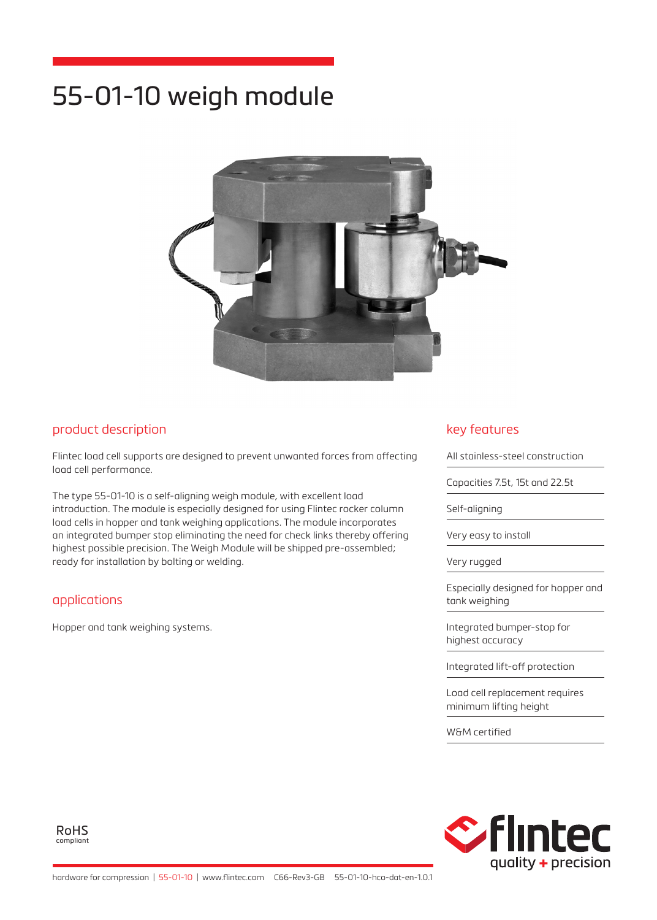# 55-01-10 weigh module



## product description

Flintec load cell supports are designed to prevent unwanted forces from affecting load cell performance.

The type 55-01-10 is a self-aligning weigh module, with excellent load introduction. The module is especially designed for using Flintec rocker column load cells in hopper and tank weighing applications. The module incorporates an integrated bumper stop eliminating the need for check links thereby offering highest possible precision. The Weigh Module will be shipped pre-assembled; ready for installation by bolting or welding.

#### applications

Hopper and tank weighing systems.

### key features

All stainless-steel construction

Capacities 7.5t, 15t and 22.5t

Self-aligning

Very easy to install

Very rugged

Especially designed for hopper and tank weighing

Integrated bumper-stop for highest accuracy

Integrated lift-off protection

Load cell replacement requires minimum lifting height

W&M certified



RoHS compliant